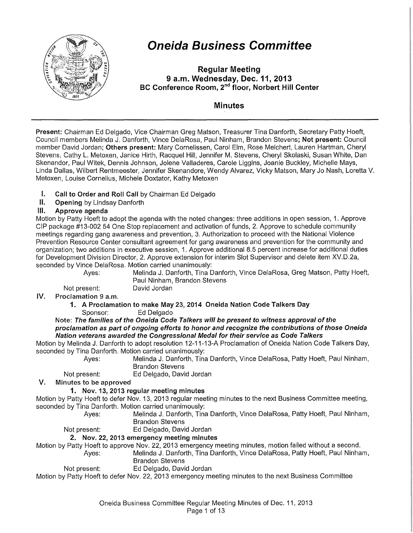

# **Oneida Business Committee**

Regular Meeting 9 a.m. Wednesday, Dec. 11,2013 BC Conference Room, 2<sup>nd</sup> floor, Norbert Hill Center

# Minutes

Present: Chairman Ed Delgado, Vice Chairman Greg Matson, Treasurer Tina Danforth, Secretary Patty Hoeft, Council members Melinda J. Danforth, Vince DelaRosa, Paul Ninham, Brandon Stevens; Not present: Council member David Jordan; Others present: Mary Cornelissen, Carol Elm, Rose Melchert, Lauren Hartman, Cheryl Stevens, Cathy L. Metoxen, Janice Hirth, Racquel Hill, Jennifer M. Stevens, Cheryl Skolaski, Susan White, Dan Skenandor, Paul Witek, Dennis Johnson, Jolene Valladeres, Carole Liggins, Joanie Buckley, Michelle Mays, Linda Dallas, Wilbert Rentmeester, Jennifer Skenandore, Wendy Alvarez, Vicky Matson, Mary Jo Nash, Loretta V. Metoxen, Louise Cornelius, Michele Doxtator, Kathy Metoxen

- I. Call to Order and Roll Call by Chairman Ed Delgado
- II. Opening by Lindsay Danforth

# Ill. Approve agenda

Motion by Patty Hoeft to adopt the agenda with the noted changes: three additions in open session, 1. Approve CIP package #13-002 54 One Stop replacement and activation of funds, 2. Approve to schedule community meetings regarding gang awareness and prevention, 3. Authorization to proceed with the National Violence Prevention Resource Center consultant agreement for gang awareness and prevention for the community and organization; two additions in executive session, 1. Approve additional 8.5 percent increase for additional duties for Development Division Director, 2. Approve extension for interim Slot Supervisor and delete item XV.D.2a, seconded by Vince DelaRosa. Motion carried unanimously:

Ayes: Melinda J. Danforth, Tina Danforth, Vince DelaRosa, Greg Matson, Patty Hoeft, Paul Ninham, Brandon Stevens

Not present: David Jordan

IV. Proclamation 9 a.m.

1. A Proclamation to make May 23, 2014 Oneida Nation Code Talkers Day

Sponsor: Ed Delgado

#### Note: The families of the Oneida Code Talkers will be present to witness approval of the proclamation as part of ongoing efforts to honor and recognize the contributions of those Oneida Nation veterans awarded the Congressional Medal for their service as Code Talkers

Motion by Melinda J. Danforth to adopt resolution 12-11-13-A Proclamation of Oneida Nation Code Talkers Day, seconded by Tina Danforth. Motion carried unanimously:

Ayes: Melinda J. Danforth, Tina Danforth, Vince DelaRosa, Patty Hoeft, Paul Ninham, Brandon Stevens

Not present: Ed Delgado, David Jordan

# V. Minutes to be approved

# 1. Nov. 13, 2013 regular meeting minutes

Motion by Patty Hoeft to defer Nov. 13, 2013 regular meeting minutes to the next Business Committee meeting, seconded by Tina Danforth. Motion carried unanimously:

Ayes: Melinda J. Danforth, Tina Danforth, Vince DelaRosa, Patty Hoeft, Paul Ninham, Brandon Stevens

- 
- Not present: Ed Delgado, David Jordan

## 2. Nov. 22, 2013 emergency meeting minutes

Motion by Patty Hoeft to approve Nov. 22, 2013 emergency meeting minutes, motion failed without a second.

Ayes: Melinda J. Danforth, Tina Danforth, Vince DelaRosa, Patty Hoeft, Paul Ninham, Brandon Stevens

Not present: Ed Delgado, David Jordan

Motion by Patty Hoeft to defer Nov. 22, 2013 emergency meeting minutes to the next Business Committee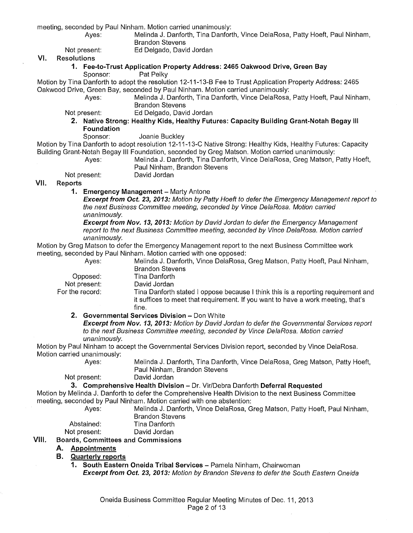meeting, seconded by Paul Ninham. Motion carried unanimously:

- 
- Melinda J. Danforth, Tina Danforth, Vince DelaRosa, Patty Hoeft, Paul Ninham, Brandon Stevens

Not present: Ed Delgado, David Jordan

#### VI. Resolutions

#### 1. Fee-to-Trust Application Property Address: 2465 Oakwood Drive, Green Bay<br>Sponsor: Pat Pelky Pat Pelky

Motion by Tina Danforth to adopt the resolution 12-11-13-B Fee to Trust Application Property Address: 2465 Oakwood Drive, Green Bay, seconded by Paul Ninham. Motion carried unanimously:

Melinda J. Danforth, Tina Danforth, Vince DelaRosa, Patty Hoeft, Paul Ninham, Brandon Stevens

Not present: Ed Delgado, David Jordan

2. Native Strong: Healthy Kids, Healthy Futures: Capacity Building Grant-Notah Begay Ill Foundation

Sponsor: Joanie Buckley

Motion by Tina Danforth to adopt resolution 12-11-13-C Native Strong: Healthy Kids, Healthy Futures: Capacity Building Grant-Notah Begay Ill Foundation, seconded by Greg Matson. Motion carried unanimously:

Ayes: Melinda J. Danforth, Tina Danforth, Vince DelaRosa, Greg Matson, Patty Hoeft,

Paul Ninham, Brandon Stevens

Not present: David Jordan

# VII. Reports

1. Emergency Management - Marty Antone

Excerpt from Oct. 23, 2013: Motion by Patty Hoeft to defer the Emergency Management report to the next Business Committee meeting, seconded by Vince DelaRosa. Motion carried unanimously.

Excerpt from Nov. 13, 2013: Motion by David Jordan to defer the Emergency Management report to the next Business Committee meeting, seconded by Vince DelaRosa. Motion carried unanimously.

Ayes: Melinda J. Danforth, Vince DelaRosa, Greg Matson, Patty Hoeft, Paul Ninham,

Motion by Greg Matson to defer the Emergency Management report to the next Business Committee work meeting, seconded by Paul Ninham. Motion carried with one opposed:

Opposed: Not present: For the record:

Brandon Stevens Tina Danforth David Jordan Tina Danforth stated I oppose because I think this is a reporting requirement and it suffices to meet that requirement. If you want to have a work meeting, that's fine.

2. Governmental Services Division - Don White

Excerpt from Nov. 13, 2013: Motion by David Jordan to defer the Governmental Services report to the next Business Committee meeting, seconded by Vince DelaRosa. Motion carried unanimously.

Motion by Paul Ninham to accept the Governmental Services Division report, seconded by Vince DelaRosa. Motion carried unanimously:

Ayes: Melinda J. Danforth, Tina Danforth, Vince DelaRosa, Greg Matson, Patty Hoeft, Paul Ninham, Brandon Stevens

Not present: David Jordan

# 3. Comprehensive Health Division - Dr. Vir/Debra Danforth Deferral Requested

Motion by Melinda J. Danforth to defer the Comprehensive Health Division to the next Business Committee meeting, seconded by Paul Ninham. Motion carried with one abstention:

Ayes: Melinda J. Danforth, Vince DelaRosa, Greg Matson, Patty Hoeft, Paul Ninham, Brandon Stevens

Abstained: Tina Danforth

Not present: David Jordan

# VIII. Boards, Committees and Commissions

A. Appointments

## B. Quarterly reports

1. South Eastern Oneida Tribal Services - Pamela Ninham, Chairwoman **Excerpt from Oct. 23, 2013:** Motion by Brandon Stevens to defer the South Eastern Oneida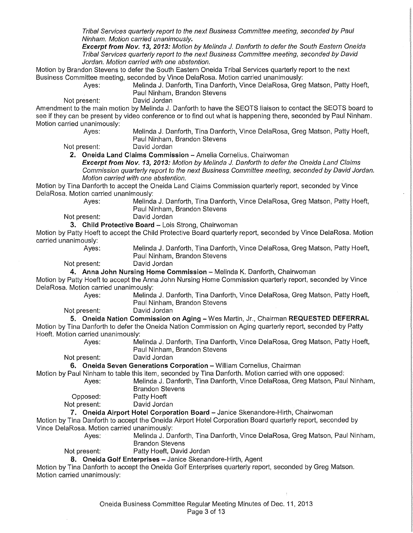Tribal Services quarterly report to the next Business Committee meeting, seconded by Paul Ninham. Motion carried unanimously.

**Excerpt from Nov. 13, 2013:** Motion by Melinda J. Danforth to defer the South Eastern Oneida Tribal Services quarterly report to the next Business Committee meeting, seconded by David Jordan. Motion carried with one abstention.

Motion by Brandon Stevens to defer the South Eastern Oneida Tribal Services quarterly report to the next Business Committee meeting, seconded by Vince DelaRosa. Motion carried unanimously:

Melinda J. Danforth, Tina Danforth, Vince DelaRosa, Greg Matson, Patty Hoeft, Paul Ninham, Brandon Stevens

Not present: David Jordan

Amendment to the main motion by Melinda J. Danforth to have the SEOTS liaison to contact the SEOTS board to see if they can be present by video conference or to find out what is happening there, seconded by Paul Ninham. Motion carried unanimously:<br>Ayes:

Melinda J. Danforth, Tina Danforth, Vince DelaRosa, Greg Matson, Patty Hoeft, Paul Ninham, Brandon Stevens

Not present:

**2. Oneida Land Claims Commission-** Amelia Cornelius, Chairwoman

**Excerpt from Nov. 13, 2013:** Motion by Melinda J. Danforth to defer the Oneida Land Claims Commission quarterly report to the next Business Committee meeting, seconded by David Jordan. Motion carried with one abstention.

Motion by Tina Danforth to accept the Oneida Land Claims Commission quarterly report, seconded by Vince DelaRosa. Motion carried unanimously:

Ayes: Melinda J. Danforth, Tina Danforth, Vince DelaRosa, Greg Matson, Patty Hoeft, Paul Ninham, Brandon Stevens

Not present:

**3. Child Protective Board - Lois Strong, Chairwoman** 

Motion by Patty Hoeft to accept the Child Protective Board quarterly report, seconded by Vince DelaRosa. Motion carried unanimously:<br>:Ayes

Melinda J. Danforth, Tina Danforth, Vince DelaRosa, Greg Matson, Patty Hoeft, Paul Ninham, Brandon Stevens

Not present:

**4. Anna John Nursing Home Commission-** Melinda K. Danforth, Chairwoman

Motion by Patty Hoeft to accept the Anna John Nursing Home Commission quarterly report, seconded by Vince DelaRosa. Motion carried unanimously:

Ayes: Melinda J. Danforth, Tina Danforth, Vince DelaRosa, Greg Matson, Patty Hoeft, Paul Ninham, Brandon Stevens

Not present: David Jordan

**5. Oneida Nation Commission on Aging-** Wes Martin, Jr., Chairman **REQUESTED DEFERRAL**  Motion by Tina Danforth to defer the Oneida Nation Commission on Aging quarterly report, seconded by Patty Hoeft. Motion carried unanimously:

Ayes: Melinda J. Danforth, Tina Danforth, Vince DelaRosa, Greg Matson, Patty Hoeft, Paul Ninham, Brandon Stevens

Not present: David Jordan

**6. Oneida Seven Generations Corporation - William Cornelius, Chairman** 

Motion by Paul Ninham to table this item, seconded by Tina Danforth. Motion carried with one opposed:

Ayes: Melinda J. Danforth, Tina Danforth, Vince DelaRosa, Greg Matson, Paul Ninham, Brandon Stevens

Opposed: Patty Hoeft<br>Not present: David Jorda

David Jordan

**7. Oneida Airport Hotel Corporation Board** -Janice Skenandore-Hirth, Chairwoman

Motion by Tina Danforth to accept the Oneida Airport Hotel Corporation Board quarterly report, seconded by Vince DelaRosa. Motion carried unanimously:

Ayes: Melinda J. Danforth, Tina Danforth, Vince DelaRosa, Greg Matson, Paul Ninham,

Brandon Stevens

Not present: Patty Hoeft, David Jordan

8. Oneida Golf Enterprises - Janice Skenandore-Hirth, Agent

Motion by Tina Danforth to accept the Oneida Golf Enterprises quarterly report, seconded by Greg Matson. Motion carried unanimously: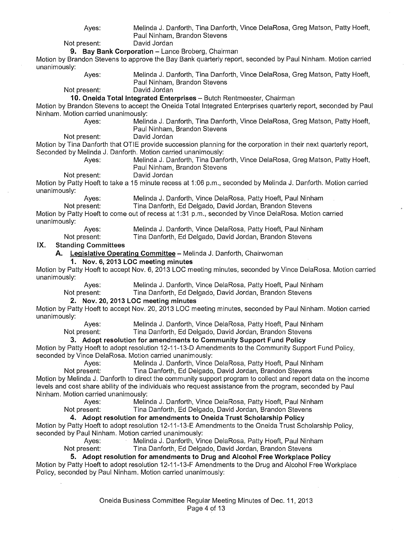| Ayes:                                                   | Melinda J. Danforth, Tina Danforth, Vince DelaRosa, Greg Matson, Patty Hoeft,                                                                                                     |
|---------------------------------------------------------|-----------------------------------------------------------------------------------------------------------------------------------------------------------------------------------|
|                                                         | Paul Ninham, Brandon Stevens                                                                                                                                                      |
| Not present:                                            | David Jordan                                                                                                                                                                      |
|                                                         | 9. Bay Bank Corporation - Lance Broberg, Chairman                                                                                                                                 |
|                                                         | Motion by Brandon Stevens to approve the Bay Bank quarterly report, seconded by Paul Ninham. Motion carried                                                                       |
| unanimously:                                            |                                                                                                                                                                                   |
| Ayes:                                                   | Melinda J. Danforth, Tina Danforth, Vince DelaRosa, Greg Matson, Patty Hoeft,                                                                                                     |
|                                                         | Paul Ninham, Brandon Stevens                                                                                                                                                      |
| Not present:                                            | David Jordan                                                                                                                                                                      |
|                                                         | 10. Oneida Total Integrated Enterprises - Butch Rentmeester, Chairman                                                                                                             |
|                                                         | Motion by Brandon Stevens to accept the Oneida Total Integrated Enterprises quarterly report, seconded by Paul                                                                    |
| Ninham. Motion carried unanimously:                     |                                                                                                                                                                                   |
| Ayes:                                                   | Melinda J. Danforth, Tina Danforth, Vince DelaRosa, Greg Matson, Patty Hoeft,                                                                                                     |
|                                                         | Paul Ninham, Brandon Stevens                                                                                                                                                      |
| Not present:                                            | David Jordan                                                                                                                                                                      |
|                                                         | Motion by Tina Danforth that OTIE provide succession planning for the corporation in their next quarterly report,<br>Seconded by Melinda J. Danforth. Motion carried unanimously: |
|                                                         |                                                                                                                                                                                   |
| Ayes:                                                   | Melinda J. Danforth, Tina Danforth, Vince DelaRosa, Greg Matson, Patty Hoeft,                                                                                                     |
|                                                         | Paul Ninham, Brandon Stevens<br>David Jordan                                                                                                                                      |
| Not present:                                            | Motion by Patty Hoeft to take a 15 minute recess at 1:06 p.m., seconded by Melinda J. Danforth. Motion carried                                                                    |
| unanimously:                                            |                                                                                                                                                                                   |
| Ayes:                                                   | Melinda J. Danforth, Vince DelaRosa, Patty Hoeft, Paul Ninham                                                                                                                     |
| Not present:                                            | Tina Danforth, Ed Delgado, David Jordan, Brandon Stevens                                                                                                                          |
|                                                         | Motion by Patty Hoeft to come out of recess at 1:31 p.m., seconded by Vince DelaRosa. Motion carried                                                                              |
| unanimously:                                            |                                                                                                                                                                                   |
| Ayes:                                                   | Melinda J. Danforth, Vince DelaRosa, Patty Hoeft, Paul Ninham                                                                                                                     |
| Not present:                                            | Tina Danforth, Ed Delgado, David Jordan, Brandon Stevens                                                                                                                          |
| IX.<br><b>Standing Committees</b>                       |                                                                                                                                                                                   |
|                                                         | A. Legislative Operating Committee - Melinda J. Danforth, Chairwoman                                                                                                              |
|                                                         | 1. Nov. 6, 2013 LOC meeting minutes                                                                                                                                               |
|                                                         | Motion by Patty Hoeft to accept Nov. 6, 2013 LOC meeting minutes, seconded by Vince DelaRosa. Motion carried                                                                      |
| unanimously:                                            |                                                                                                                                                                                   |
| Ayes:                                                   | Melinda J. Danforth, Vince DelaRosa, Patty Hoeft, Paul Ninham                                                                                                                     |
| Not present:                                            | Tina Danforth, Ed Delgado, David Jordan, Brandon Stevens                                                                                                                          |
|                                                         | 2. Nov. 20, 2013 LOC meeting minutes                                                                                                                                              |
|                                                         | Motion by Patty Hoeft to accept Nov. 20, 2013 LOC meeting minutes, seconded by Paul Ninham. Motion carried                                                                        |
| unanimously:                                            |                                                                                                                                                                                   |
| Ayes:                                                   | Melinda J. Danforth, Vince DelaRosa, Patty Hoeft, Paul Ninham                                                                                                                     |
| Not present:                                            | Tina Danforth, Ed Delgado, David Jordan, Brandon Stevens                                                                                                                          |
|                                                         | 3. Adopt resolution for amendments to Community Support Fund Policy                                                                                                               |
|                                                         | Motion by Patty Hoeft to adopt resolution 12-11-13-D Amendments to the Community Support Fund Policy,                                                                             |
| seconded by Vince DelaRosa. Motion carried unanimously: |                                                                                                                                                                                   |
| Ayes:                                                   | Melinda J. Danforth, Vince DelaRosa, Patty Hoeft, Paul Ninham                                                                                                                     |
| Not present:                                            | Tina Danforth, Ed Delgado, David Jordan, Brandon Stevens                                                                                                                          |
|                                                         | Motion by Melinda J. Danforth to direct the community support program to collect and report data on the income                                                                    |
|                                                         | levels and cost share ability of the individuals who request assistance from the program, seconded by Paul                                                                        |
| Ninham. Motion carried unanimously:                     |                                                                                                                                                                                   |
| Ayes:                                                   | Melinda J. Danforth, Vince DelaRosa, Patty Hoeft, Paul Ninham                                                                                                                     |
| Not present:                                            | Tina Danforth, Ed Delgado, David Jordan, Brandon Stevens                                                                                                                          |
|                                                         | 4. Adopt resolution for amendments to Oneida Trust Scholarship Policy                                                                                                             |
|                                                         | Motion by Patty Hoeft to adopt resolution 12-11-13-E Amendments to the Oneida Trust Scholarship Policy,                                                                           |
| seconded by Paul Ninham. Motion carried unanimously:    |                                                                                                                                                                                   |
| Ayes:                                                   | Melinda J. Danforth, Vince DelaRosa, Patty Hoeft, Paul Ninham                                                                                                                     |
| Not present:                                            | Tina Danforth, Ed Delgado, David Jordan, Brandon Stevens                                                                                                                          |
|                                                         | 5. Adopt resolution for amendments to Drug and Alcohol Free Workplace Policy                                                                                                      |
|                                                         | Motion by Patty Hoeft to adopt resolution 12-11-13-F Amendments to the Drug and Alcohol Free Workplace                                                                            |
|                                                         | Policy, seconded by Paul Ninham. Motion carried unanimously:                                                                                                                      |
|                                                         |                                                                                                                                                                                   |
|                                                         |                                                                                                                                                                                   |

 $\bar{\mathcal{A}}$ 

 $\hat{\mathcal{A}}$ 

 $\bar{\bar{z}}$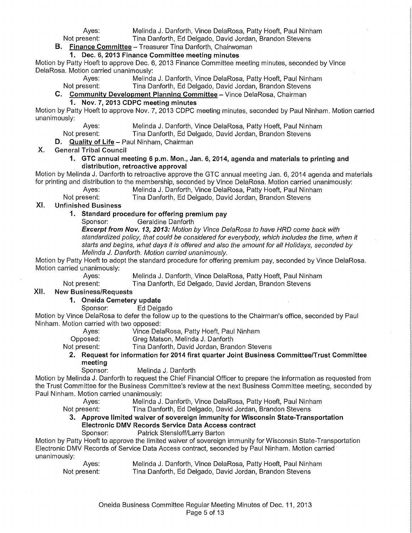Ayes: Melinda J. Danforth, Vince DelaRosa, Patty Hoeft, Paul Ninham<br>Not present: Tina Danforth, Ed Delgado, David Jordan, Brandon Stevens Tina Danforth, Ed Delgado, David Jordan, Brandon Stevens

**B. Finance Committee-** Treasurer Tina Danforth, Chairwoman

#### **1. Dec. 6, 2013 Finance Committee meeting minutes**

Motion by Patty Hoeft to approve Dec. 6, 2013 Finance Committee meeting minutes, seconded by Vince DelaRosa. Motion carried unanimously:<br>Ayes: Melinda

Ayes: Melinda J. Danforth, Vince DelaRosa, Patty Hoeft, Paul Ninham<br>Not present: Tina Danforth, Ed Delgado, David Jordan, Brandon Stevens

Tina Danforth, Ed Delgado, David Jordan, Brandon Stevens

# **C. Community Development Planning Committee-** Vince DelaRosa, Chairman

# **1. Nov. 7, 2013 CDPC meeting minutes**

Motion by Patty Hoeft to approve Nov. 7, 2013 CDPC meeting minutes, seconded by Paul Ninham. Motion carried unanimously:

Ayes: Melinda J. Danforth, Vince DelaRosa, Patty Hoeft, Paul Ninham<br>Not present: Tina Danforth, Ed Delgado, David Jordan, Brandon Stevens

Tina Danforth, Ed Delgado, David Jordan, Brandon Stevens

**D. Quality of Life-** Paul Ninham, Chairman

#### X. General Tribal Council

#### **1. GTC annual meeting 6 p.m. Mon., Jan. 6, 2014, agenda and materials to printing and distribution, retroactive approval**

Motion by Melinda J. Danforth to retroactive approve the GTC annual meeting Jan. 6, 2014 agenda and materials for printing and distribution to the membership, seconded by Vince DelaRosa. Motion carried unanimously:

Ayes: Melinda J. Danforth, Vince DelaRosa, Patty Hoeft, Paul Ninham<br>Not present: Tina Danforth. Ed Delgado. David Jordan. Brandon Stevens

Tina Danforth, Ed Delgado, David Jordan, Brandon Stevens

# XI. Unfinished Business

# **1. Standard procedure for offering premium pay**

Geraldine Danforth

**Excerpt from Nov. 13, 2013:** Motion by Vince DelaRosa to have HRD come back with standardized policy, that could be considered for everybody, which includes the time, when it starts and begins, what days it is offered and also the amount for all Holidays, seconded by Melinda *J.* Danforth. Motion carried unanimously.

Motion by Patty Hoeft to adopt the standard procedure for offering premium pay, seconded by Vince DelaRosa. Motion carried unanimously:<br>Ayes:

Ayes: Melinda J. Danforth, Vince DelaRosa, Patty Hoeft, Paul Ninham<br>Not present: Tina Danforth, Ed Delgado, David Jordan, Brandon Stevens Tina Danforth, Ed Delgado, David Jordan, Brandon Stevens

# XII. New Business/Requests

# **1. Oneida Cemetery update**

Sponsor: Ed Delgado

Motion by Vince DelaRosa to defer the follow up to the questions to the Chairman's office, seconded by Paul Ninham. Motion carried with two opposed:

Vince DelaRosa, Patty Hoeft, Paul Ninham

Opposed: Greg Matson, Melinda J. Danforth

Not present: Tina Danforth, David Jordan, Brandon Stevens

## **2. Request for information for 2014 first quarter Joint Business Committee/Trust Committee meeting**

Sponsor: Melinda J. Danforth

Motion by Melinda J. Danforth to request the Chief Financial Officer to prepare the information as requested from the Trust Committee for the Business Committee's review at the next Business Committee meeting, seconded by Paul Ninham. Motion carried unanimously:

Ayes: Melinda J. Danforth, Vince DelaRosa, Patty Hoeft, Paul Ninham

Not present: Tina Danforth, Ed Delgado, David Jordan, Brandon Stevens

# **3. Approve limited waiver of sovereign immunity for Wisconsin State-Transportation Electronic DMV Records Service Data Access contract**

## Patrick Stensloff/Larry Barton

Motion by Patty Hoeft to approve the limited waiver of sovereign immunity for Wisconsin State-Transportation Electronic DMV Records of Service Data Access contract, seconded by Paul Ninham. Motion carried unanimously:

| Ayes:        | Melinda J. Danforth, Vince DelaRosa, Patty Hoeft, Paul Ninham |
|--------------|---------------------------------------------------------------|
| Not present: | Tina Danforth, Ed Delgado, David Jordan, Brandon Stevens      |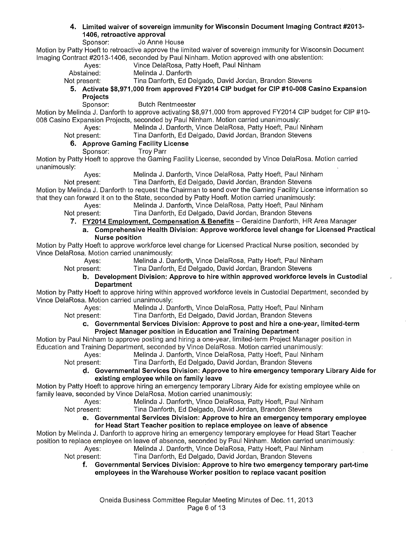# **4. Limited waiver of sovereign immunity for Wisconsin Document Imaging Contract #2013- 1406, retroactive approval**

Jo Anne House

Motion by Patty Hoeft to retroactive approve the limited waiver of sovereign immunity for Wisconsin Document Imaging Contract #2013-1406, seconded by Paul Ninham. Motion approved with one abstention:

- Ayes: Vince DelaRosa, Patty Hoeft, Paul Ninham
- Abstained: Melinda J. Danforth

- Not present: Tina Danforth, Ed Delgado, David Jordan, Brandon Stevens
	- **5. Activate \$8,971,000 from approved FY2014 CIP budget for CIP #10-008 Casino Expansion Projects** 
		- **Butch Rentmeester**

Motion by Melinda J. Danforth to approve activating \$8,971,000 from approved FY2014 CIP budget for CIP #10-008 Casino Expansion Projects, seconded by Paul Ninham. Motion carried unanimously:

Ayes: Melinda J. Danforth, Vince DelaRosa, Patty Hoeft, Paul Ninham

Not present: Tina Danforth, Ed Delgado, David Jordan, Brandon Stevens

# **6. Approve Gaming Facility License**

Troy Parr

Motion by Patty Hoeft to approve the Gaming Facility License, seconded by Vince DelaRosa. Motion carried unanimously:

Ayes: Melinda J. Danforth, Vince DelaRosa, Patty Hoeft, Paul Ninham<br>Not present: Tina Danforth, Ed Delgado, David Jordan, Brandon Stevens Tina Danforth, Ed Delgado, David Jordan, Brandon Stevens

Motion by Melinda J. Danforth to request the Chairman to send over the Gaming Facility License information so that they can forward it on to the State, seconded by Patty Hoeft. Motion carried unanimously:

Ayes: Melinda J. Danforth, Vince DelaRosa, Patty Hoeft, Paul Ninham

- Not present: Tina Danforth, Ed Delgado, David Jordan, Brandon Stevens
	- **7. FY2014 Employment, Compensation & Benefits-** Geraldine Danforth, HR Area Manager
	- **a. Comprehensive Health Division: Approve workforce level change for Licensed Practical Nurse position**

Motion by Patty Hoeft to approve workforce level change for Licensed Practical Nurse position, seconded by Vince DelaRosa. Motion carried unanimously:

Ayes: Melinda J. Danforth, Vince DelaRosa, Patty Hoeft, Paul Ninham

Not present: Tina Danforth, Ed Delgado, David Jordan, Brandon Stevens

#### **b. Development Division: Approve to hire within approved workforce levels in Custodial Department**

Motion by Patty Hoeft to approve hiring within approved workforce levels in Custodial Department, seconded by Vince DelaRosa. Motion carried unanimously:

- Ayes: Melinda J. Danforth, Vince DelaRosa, Patty Hoeft, Paul Ninham Not present: Tina Danforth, Ed Delgado, David Jordan, Brandon Stevens
	- **c. Governmental Services Division: Approve to post and hire a one-year, limited-term Project Manager position in Education and Training Department**

Motion by Paul Ninham to approve posting and hiring a one-year, limited-term Project Manager position in Education and Training Department, seconded by Vince DelaRosa. Motion carried unanimously:

Ayes: Melinda J. Danforth, Vince DelaRosa, Patty Hoeft, Paul Ninham Not present: Tina Danforth, Ed Delgado, David Jordan, Brandon Stevens

~. **Governmental Services Division: Approve to hire emergency temporary Library Aide for existing employee while on family leave** 

Motion by Patty Hoeft to approve hiring an emergency temporary Library Aide for existing employee while on family leave, seconded by Vince DelaRosa. Motion carried unanimously:

Ayes: Melinda J. Danforth, Vince DelaRosa, Patty Hoeft, Paul Ninham

Not present: Tina Danforth, Ed Delgado, David Jordan, Brandon Stevens

#### **e. Governmental Services Division: Approve to hire an emergency temporary employee for Head Start Teacher position to replace employee on leave of absence**

Motion by Melinda J. Danforth to approve hiring an emergency temporary employee for Head Start Teacher position to replace employee on leave of absence, seconded by Paul Ninham. Motion carried unanimously: Ayes: Melinda J. Danforth, Vince DelaRosa, Patty Hoeft, Paul Ninham

Not present: Tina Danforth, Ed Delgado, David Jordan, Brandon Stevens

**f. Governmental Services Division: Approve to hire two emergency temporary part-time employees in the Warehouse Worker position to replace vacant position**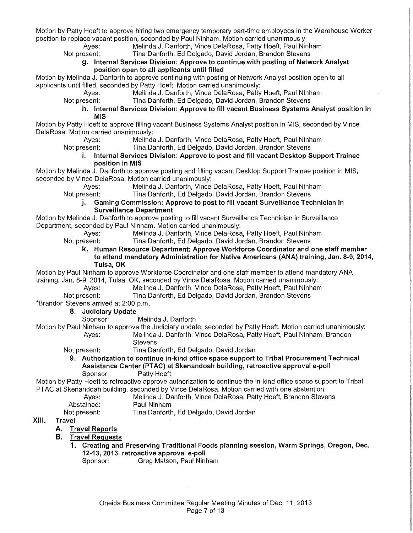Motion by Patty Hoeft to approve hiring two emergency temporary part-time employees in the Warehouse Worker position to replace vacant position, seconded by Paul Ninham. Motion carried unanimously:

Ayes: Melinda J. Danforth, Vince DelaRosa, Patty Hoeft, Paul Ninham<br>Not present: Tina Danforth, Ed Delgado, David Jordan, Brandon Stevens Tina Danforth, Ed Delgado, David Jordan, Brandon Stevens

g. Internal Services Division: Approve to continue with posting of Network Analyst position open to all applicants until filled

Motion by Melinda J. Danforth to approve continuing with posting of Network Analyst position open to all applicants until filled, seconded by Patty Hoeft. Motion carried unanimously:

Melinda J. Danforth, Vince DelaRosa, Patty Hoeft, Paul Ninham

Not present: Tina Danforth, Ed Delgado, David Jordan, Brandon Stevens

h. Internal Services Division: Approve to fill vacant Business Systems Analyst position in MIS

Motion by Patty Hoeft to approve filling vacant Business Systems Analyst position in MIS, seconded by Vince DelaRosa. Motion carried unanimously:<br>Aves: Melinda

Ayes: Melinda J. Danforth, Vince DelaRosa, Patty Hoeft, Paul Ninham<br>Not present: Tina Danforth, Ed Delgado, David Jordan, Brandon Stevens

Tina Danforth, Ed Delgado, David Jordan, Brandon Stevens

#### i. Internal Services Division: Approve to post and fill vacant Desktop Support Trainee position in MIS

Motion by Melinda J. Danforth to approve posting and filling vacant Desktop Support Trainee position in MIS, seconded by Vince DelaRosa. Motion carried unanimously:

Ayes: Melinda J. Danforth, Vince DelaRosa, Patty Hoeft, Paul Ninham<br>Not present: Tina Danforth, Ed Delgado, David Jordan, Brandon Stevens

Tina Danforth, Ed Delgado, David Jordan, Brandon Stevens

j. Gaming Commission: Approve to post to fill vacant Surveillance Technician in Surveillance Department

Motion by Melinda J. Danforth to approve posting to fill vacant Surveillance Technician in Surveillance Department, seconded by Paul Ninham. Motion carried unanimously:

Ayes: Melinda J. Danforth, Vince DelaRosa, Patty Hoeft, Paul Ninham Not present: Tina Danforth, Ed Delgado, David Jordan, Brandon Stevens

k. Human Resource Department: Approve Workforce Coordinator and one staff member to attend mandatory Administration for Native Americans (ANA) training, Jan. 8-9, 2014, Tulsa, OK

Motion by Paul Ninham to approve Workforce Coordinator and one staff member to attend mandatory ANA training, Jan. 8-9, 2014, Tulsa, OK, seconded by Vince DelaRosa. Motion carried unanimously:

- Ayes: Melinda J. Danforth, Vince DelaRosa, Patty Hoeft, Paul Ninham<br>Not present: Tina Danforth, Ed Delgado, David Jordan, Brandon Stevens
	- Tina Danforth, Ed Delgado, David Jordan, Brandon Stevens

\*Brandon Stevens arrived at 2:00 p.m.

- 8. Judiciary Update<br>Sponsor:
	- Melinda J. Danforth

Motion by Paul Ninham to approve the Judiciary update, seconded by Patty Hoeft. Motion carried unanimously: Ayes: Melinda J. Danforth, Vince DelaRosa, Patty Hoeft, Paul Ninham, Brandon **Stevens** 

- Not present: Tina Danforth, Ed Delgado, David Jordan
	- 9. Authorization to continue in-kind office space support to Tribal Procurement Technical Assistance Center (PTAC) at Skenandoah building, retroactive approval e-poll Sponsor: Patty Hoeft

Motion by Patty Hoeft to retroactive approve authorization to continue the in-kind office space support to Tribal PTAC at Skenandoah building, seconded by Vince DelaRosa. Motion carried with one abstention:

| Ayes:      | Melinda J. Danforth, Vince DelaRosa, Patty Hoeft, Brandon Stevens |
|------------|-------------------------------------------------------------------|
| Abstained: | Paul Ninham                                                       |

Not present: Tina Danforth, Ed Delgado, David Jordan

## XIII. Travel

- A. Travel Reports
- B. Travel Requests
	- 1. Creating and Preserving Traditional Foods planning session, Warm Springs, Oregon, Dec. 12-13, 2013, retroactive approval e-poll
		- Sponsor: Greg Matson, Paul Ninham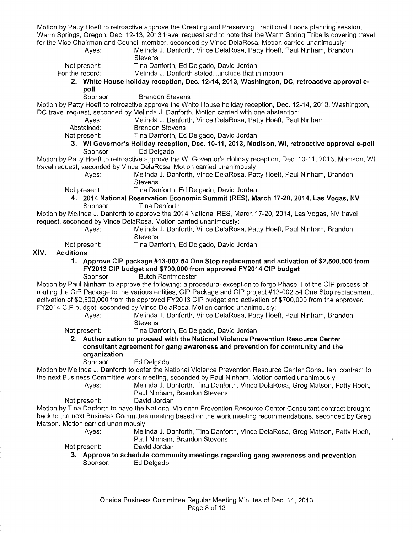Motion by Patty Hoeft to retroactive approve the Creating and Preserving Traditional Foods planning session, Warm Springs, Oregon, Dec. 12-13, 2013 travel request and to note that the Warm Spring Tribe is covering travel for the Vice Chairman and Council member, seconded by Vince DelaRosa. Motion carried unanimously:

> Ayes: Melinda J. Danforth, Vince DelaRosa, Patty Hoeft, Paul Ninham, Brandon **Stevens**

Not present: Tina Danforth, Ed Delgado, David Jordan<br>For the record: Melinda J. Danforth stated...include that in

Melinda J. Danforth stated... include that in motion

2. White House holiday reception, Dec. 12-14, 2013, Washington, DC, retroactive approval e-

- poll<br>Sponsor:
	- **Brandon Stevens**

Motion by Patty Hoeft to retroactive approve the White House holiday reception, Dec. 12-14, 2013, Washington, DC travel request, seconded by Melinda J. Danforth. Motion carried with one abstention:

- Ayes: Melinda J. Danforth, Vince DelaRosa, Patty Hoeft, Paul Ninham<br>Abstained: Brandon Stevens
	- **Brandon Stevens**
- Not present: Tina Danforth, Ed Delgado, David Jordan
- 3. WI Governor's Holiday reception, Dec. 10-11, 2013, Madison, WI, retroactive approval e-poll Sponsor: Ed Delgado

Motion by Patty Hoeft to retroactive approve the WI Governor's Holiday reception, Dec. 10-11, 2013, Madison, WI travel request, seconded by Vince DelaRosa. Motion carried unanimously:

Ayes: Melinda J. Danforth, Vince DelaRosa, Patty Hoeft, Paul Ninham, Brandon **Stevens** 

Not present: Tina Danforth, Ed Delgado, David Jordan

4. 2014 National Reservation Economic Summit (RES), March 17-20, 2014, Las Vegas, NV Sponsor: Tina Danforth

Motion by Melinda J. Danforth to approve the 2014 National RES, March 17-20, 2014, Las Vegas, NV travel request, seconded by Vince DelaRosa. Motion carried unanimously:

- Ayes: Melinda J. Danforth, Vince DelaRosa, Patty Hoeft, Paul Ninham, Brandon **Stevens**
- Not present: Tina Danforth, Ed Delgado, David Jordan

#### XIV. Additions

- 1. Approve CIP package #13-002 54 One Stop replacement and activation of \$2,500,000 from FY2013 CIP budget and \$700,000 from approved FY2014 CIP budget Sponsor: Butch Rentmeester
- Motion by Paul Ninham to approve the following: a procedural exception to forgo Phase II of the CIP process of routing the CIP Package to the various entities, CIP Package and CIP project #13-002 54 One Stop replacement, activation of \$2,500,000 from the approved FY2013 CIP budget and activation of \$700,000 from the approved FY2014 CIP budget, seconded by Vince DelaRosa. Motion carried unanimously:

Ayes: Melinda J. Danforth, Vince DelaRosa, Patty Hoeft, Paul Ninham, Brandon Stevens

Not present: Tina Danforth, Ed Delgado, David Jordan

2. Authorization to proceed with the National Violence Prevention Resource Center consultant agreement for gang awareness and prevention for community and the organization

Sponsor: Ed Delgado

Motion by Melinda J. Danforth to defer the National Violence Prevention Resource Center Consultant contract to the next Business Committee work meeting, seconded by Paul Ninham. Motion carried unanimously:

Ayes: Melinda J. Danforth, Tina Danforth, Vince DelaRosa, Greg Matson, Patty Hoeft, Paul Ninham, Brandon Stevens

Not present: David Jordan

Motion by Tina Danforth to have the National Violence Prevention Resource Center Consultant contract brought back to the next Business Committee meeting based on the work meeting recommendations, seconded by Greg Matson. Motion carried unanimously:

Ayes: Melinda J. Danforth, Tina Danforth, Vince DelaRosa, Greg Matson, Patty Hoeft, Paul Ninham, Brandon Stevens

Not present: David Jordan

3. Approve to schedule community meetings regarding gang awareness and prevention Sponsor: Ed Delgado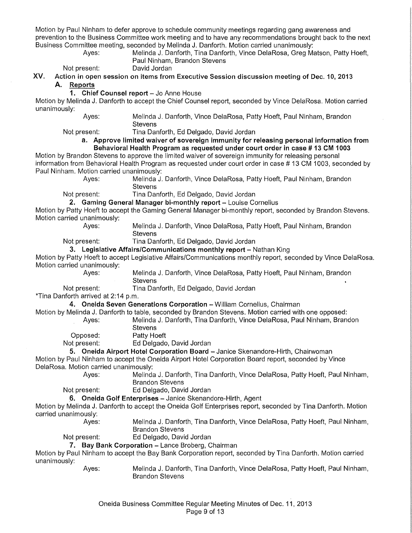Motion by Paul Ninham to defer approve to schedule community meetings regarding gang awareness and prevention to the Business Committee work meeting and to have any recommendations brought back to the next Business Committee meeting, seconded by Melinda J. Danforth. Motion carried unanimously:

| Ayes: | Melinda J. Danforth, Tina Danforth, Vince DelaRosa, Greg Matson, Patty Hoeft, |
|-------|-------------------------------------------------------------------------------|
|       | Paul Ninham, Brandon Stevens                                                  |
|       |                                                                               |

Not present: David Jordan

XV. Action in open session on items from Executive Session discussion meeting of Dec. 10, 2013 A. Reports

#### 1. Chief Counsel report - Jo Anne House

Motion by Melinda J. Danforth to accept the Chief Counsel report, seconded by Vince DelaRosa. Motion carried unanimously:

> Ayes: Melinda J. Danforth, Vince DelaRosa, Patty Hoeft, Paul Ninham, Brandon **Stevens**

Not present: Tina Danforth, Ed Delgado, David Jordan

#### a. Approve limited waiver of sovereign immunity for releasing personal information from Behavioral Health Program as requested under court order in case# 13 CM 1003

Motion by Brandon Stevens to approve the limited waiver of sovereign immunity for releasing personal information from Behavioral Health Program as requested under court order in case # 13 CM 1003, seconded by Paul Ninham. Motion carried unanimously:

Melinda J. Danforth, Vince DelaRosa, Patty Hoeft, Paul Ninham, Brandon **Stevens** 

Not present: Tina Danforth, Ed Delgado, David Jordan

2. Gaming General Manager bi-monthly report - Louise Cornelius

Motion by Patty Hoeft to accept the Gaming General Manager bi-monthly report, seconded by Brandon Stevens. Motion carried unanimously:<br>Aves:

Melinda J. Danforth, Vince DelaRosa, Patty Hoeft, Paul Ninham, Brandon **Stevens** 

Not present: Tina Danforth, Ed Delgado, David Jordan

3. Legislative Affairs/Communications monthly report - Nathan King

Motion by Patty Hoeft to accept Legislative Affairs/Communications monthly report, seconded by Vince DelaRosa. Motion carried unanimously:<br>Ayes:

Melinda J. Danforth, Vince DelaRosa, Patty Hoeft, Paul Ninham, Brandon **Stevens** 

Not present: Tina Danforth, Ed Delgado, David Jordan

\*Tina Danforth arrived at 2:14 p.m.

4. Oneida Seven Generations Corporation - William Cornelius, Chairman

Motion by Melinda J. Danforth to table, seconded by Brandon Stevens. Motion carried with one opposed:

| Ayes: | Melinda J. Danforth, Tina Danforth, Vince DelaRosa, Paul Ninham, Brandon |
|-------|--------------------------------------------------------------------------|
|       | Stevens                                                                  |

Opposed: Patty Hoeft

Not present: Ed Delgado, David Jordan

5. Oneida Airport Hotel Corporation Board - Janice Skenandore-Hirth, Chairwoman

Motion by Paul Ninham to accept the Oneida Airport Hotel Corporation Board report, seconded by Vince DelaRosa. Motion carried unanimously:

> Ayes: Melinda J. Danforth, Tina Danforth, Vince DelaRosa, Patty Hoeft, Paul Ninham, Brandon Stevens

Not present: Ed Delgado, David Jordan

6. Oneida Golf Enterprises - Janice Skenandore-Hirth, Agent

Motion by Melinda J. Danforth to accept the Oneida Golf Enterprises report, seconded by Tina Danforth. Motion carried unanimously:

Ayes: Melinda J. Danforth, Tina Danforth, Vince DelaRosa, Patty Hoeft, Paul Ninham, Brandon Stevens

Not present: Ed Delgado, David Jordan

7. Bay Bank Corporation - Lance Broberg, Chairman

Motion by Paul Ninham to accept the Bay Bank Corporation report, seconded by Tina Danforth. Motion carried unanimously:

Ayes: Melinda J. Danforth, Tina Danforth, Vince DelaRosa, Patty Hoeft, Paul Ninham, Brandon Stevens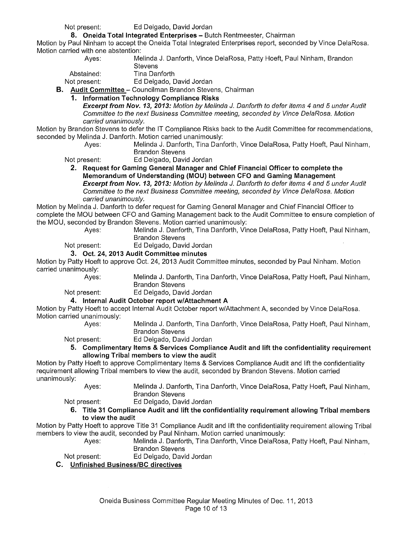Not present: Ed Delgado, David Jordan

## **8. Oneida Total Integrated Enterprises - Butch Rentmeester, Chairman**

Motion by Paul Ninham to accept the Oneida Total Integrated Enterprises report, seconded by Vince DelaRosa. Motion carried with one abstention: Ayes: Melinda J. Danforth, Vince DelaRosa, Patty Hoeft, Paul Ninham, Brandon

|    | Aves:        | Melinda J. Danforth, Vince DelaRosa, Patty Hoe         |  |
|----|--------------|--------------------------------------------------------|--|
|    |              | <b>Stevens</b>                                         |  |
|    | Abstained:   | Tina Danforth                                          |  |
|    | Not present: | Ed Delgado, David Jordan                               |  |
| В. |              | Audit Committee - Councilman Brandon Stevens, Chairman |  |

### **1. Information Technology Compliance Risks**

**Excerpt from Nov. 13, 2013:** Motion by Melinda J. Danforth to defer items 4 and 5 under Audit Committee to the next Business Committee meeting, seconded by Vince DelaRosa. Motion carried unanimously.

Motion by Brandon Stevens to defer the IT Compliance Risks back to the Audit Committee for recommendations, seconded by Melinda J. Danforth. Motion carried unanimously:

Ayes: Melinda J. Danforth, Tina Danforth, Vince DelaRosa, Patty Hoeft, Paul Ninham, Brandon Stevens

Not present: Ed Delgado, David Jordan

**2. Request for Gaming General Manager and Chief Financial Officer to complete the Memorandum of Understanding (MOU) between CFO and Gaming Management Excerpt from Nov. 13, 2013:** Motion by Melinda *J.* Danforth to defer items 4 and 5 under Audit Committee to the next Business Committee meeting, seconded by Vince DelaRosa. Motion carried unanimously.

Motion by Melinda J. Danforth to defer request for Gaming General Manager and Chief Financial Officer to complete the MOU between CFO and Gaming Management back to the Audit Committee to ensure completion of the MOU, seconded by Brandon Stevens. Motion carried unanimously:

Ayes: Melinda J. Danforth, Tina Danforth, Vince DelaRosa, Patty Hoeft, Paul Ninham,

Brandon Stevens

Not present: Ed Delgado, David Jordan

**3. Oct. 24, 2013 Audit Committee minutes** 

Motion by Patty Hoeft to approve Oct. 24, 2013 Audit Committee minutes, seconded by Paul Ninham. Motion carried unanimously:

Ayes: Melinda J. Danforth, Tina Danforth, Vince DelaRosa, Patty Hoeft, Paul Ninham, Brandon Stevens

Not present: Ed Delgado, David Jordan

**4. Internal Audit October report w/Attachment A** 

Motion by Patty Hoeft to accept Internal Audit October report w/Attachment A, seconded by Vince DelaRosa. Motion carried unanimously:

Ayes: Melinda J. Danforth, Tina Danforth, Vince DelaRosa, Patty Hoeft, Paul Ninham, Brandon Stevens

Not present: Ed Delgado, David Jordan

**5. Complimentary Items & Services Compliance Audit and lift the confidentiality requirement allowing Tribal members to view the audit** 

Motion by Patty Hoeft to approve Complimentary Items & Services Compliance Audit and lift the confidentiality requirement allowing Tribal members to view the audit, seconded by Brandon Stevens. Motion carried unanimously:

Ayes: Melinda J. Danforth, Tina Danforth, Vince DelaRosa, Patty Hoeft, Paul Ninham, Brandon Stevens

Not present: Ed Delgado, David Jordan

**6. Title 31 Compliance Audit and lift the confidentiality requirement allowing Tribal members to view the audit** 

Motion by Patty Hoeft to approve Title 31 Compliance Audit and lift the confidentiality requirement allowing Tribal members to view the audit, seconded by Paul Ninham. Motion carried unanimously:

Ayes: Melinda J. Danforth, Tina Danforth, Vince DelaRosa, Patty Hoeft, Paul Ninham, Brandon Stevens

Not present: Ed Delgado, David Jordan

**C. Unfinished Business/Be directives**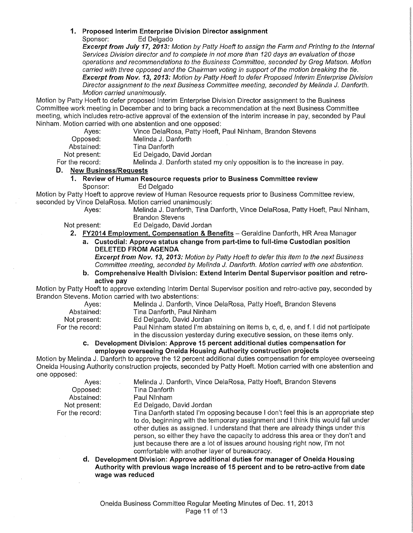# **1. Proposed Interim Enterprise Division Director assignment**

Ed Delgado

**Excerpt from July 17, 2013:** Motion by Patty Hoeft to assign the Farm and Printing to the Internal Services Division director and to complete in not more than 120 days an evaluation of those operations and recommendations to the Business Committee, seconded by Greg Matson. Motion carried with three opposed and the Chairman voting in support of the motion breaking the tie. **Excerpt from Nov. 13, 2013:** Motion by Patty Hoeft to defer Proposed Interim Enterprise Division Director assignment to the next Business Committee meeting, seconded by Melinda J. Danforth. Motion carried unanimously.

Motion by Patty Hoeft to defer proposed Interim Enterprise Division Director assignment to the Business Committee work meeting in December and to bring back a recommendation at the next Business Committee meeting, which includes retro-active approval of the extension of the interim increase in pay, seconded by Paul Ninham. Motion carried with one abstention and one opposed:

| Aves:                            | Vince DelaRosa, Patty Hoeft, Paul Ninham, Brandon Stevens                |
|----------------------------------|--------------------------------------------------------------------------|
| Opposed:                         | Melinda J. Danforth                                                      |
| Abstained:                       | Tina Danforth                                                            |
| Not present:                     | Ed Delgado, David Jordan                                                 |
| For the record:                  | Melinda J. Danforth stated my only opposition is to the increase in pay. |
| D. Ne <u>w Business/Requests</u> |                                                                          |

# **1. Review of Human Resource requests prior to Business Committee review**

Ed Delgado

Motion by Patty Hoeft to approve review of Human Resource requests prior to Business Committee review, seconded by Vince DelaRosa. Motion carried unanimously:<br>Ayes: Melinda J. Danforth. Tina D

Melinda J. Danforth, Tina Danforth, Vince DelaRosa, Patty Hoeft, Paul Ninham, Brandon Stevens

Not present: Ed Delgado, David Jordan

**2. FY2014 Employment. Compensation & Benefits-** Geraldine Danforth, HR Area Manager

**a. Custodial: Approve status change from part-time to full-time Custodian position DELETED FROM AGENDA** 

**Excerpt from Nov. 13, 2013:** Motion by Patty Hoeft to defer this item to the next Business Committee meeting, seconded by Melinda *J.* Danforth. Motion carried with one abstention.

**b. Comprehensive Health Division: Extend Interim Dental Supervisor position and retroactive pay** 

Motion by Patty Hoeft to approve extending Interim Dental Supervisor position and retro-active pay, seconded by Brandon Stevens. Motion carried with two abstentions:

| Aves:             | Melinda J. Danforth, Vince DelaRosa, Patty Hoeft, Brandon Stevens                   |
|-------------------|-------------------------------------------------------------------------------------|
| Abstained:        | Tina Danforth, Paul Ninham                                                          |
| Not present:      | Ed Delgado, David Jordan                                                            |
| For the record: . | Paul Ninham stated I'm abstaining on items b, c, d, e, and f. I did not participate |
|                   |                                                                                     |

in the discussion yesterday during executive session, on these items only. **c. Development Division: Approve 15 percent additional duties compensation for employee overseeing Oneida Housing Authority construction projects** 

Motion by Melinda J. Danforth to approve the 12 percent additional duties compensation for employee overseeing Oneida Housing Authority construction projects, seconded by Patty Hoeft. Motion carried with one abstention and one opposed:

| Aves:           | Melinda J. Danforth, Vince DelaRosa, Patty Hoeft, Brandon Stevens                  |
|-----------------|------------------------------------------------------------------------------------|
| Opposed:        | Tina Danforth                                                                      |
| Abstained:      | Paul Ninham                                                                        |
| Not present:    | Ed Delgado, David Jordan                                                           |
| For the record: | Tina Danforth stated I'm opposing because I don't feel this is an appropriate step |
|                 | to do, beginning with the temporary assignment and I think this would fall under   |
|                 | other duties as assigned. I understand that there are already things under this    |
|                 | person, so either they have the capacity to address this area or they don't and    |
|                 | just because there are a lot of issues around housing right now, I'm not           |

comfortable with another layer of bureaucracy. **d. Development Division: Approve additional duties for manager of Oneida Housing Authority with previous wage increase of 15 percent and to be retro-active from date wage was reduced**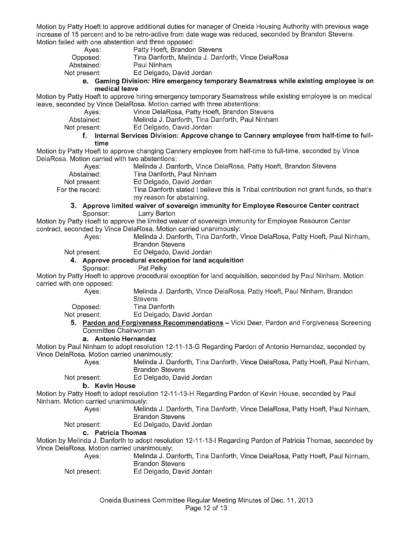Motion by Patty Hoeft to approve additional duties for manager of Oneida Housing Authority with previous wage increase of 15 percent and to be retro-active from date wage was reduced, seconded by Brandon Stevens. Motion failed with one abstention and three opposed:

- Ayes: Patty Hoeft, Brandon Stevens<br>
Opposed: Tina Danforth. Melinda J. Dan
- Opposed: Tina Danforth, Melinda J. Danforth, Vince DelaRosa
- Abstained: Paul Ninham<br>
Not present: Ed Delgado.

Ed Delgado, David Jordan

**e. Gaming Division: Hire emergency temporary Seamstress while existing employee is on medical leave** 

Motion by Patty Hoeft to approve hiring emergency temporary Seamstress while existing employee is on medical leave, seconded by Vince DelaRosa. Motion carried with three abstentions:

Ayes: Vince DelaRosa, Patty Hoeft, Brandon Stevens<br>Abstained: Melinda J. Danforth, Tina Danforth, Paul Ninhar

Abstained: Melinda J. Danforth, Tina Danforth, Paul Ninham<br>Not present: Ed Delgado, David Jordan

Ed Delgado, David Jordan

### **f. Internal Services Division: Approve change to Cannery employee from half-time to fulltime**

Motion by Patty Hoeft to approve changing Cannery employee from half-time to full-time, seconded by Vince DelaRosa. Motion carried with two abstentions:

Ayes: Melinda J. Danforth, Vince DelaRosa, Patty Hoeft, Brandon Stevens

Abstained: Tina Danforth, Paul Ninham<br>Not present: Ed Delgado, David Jordan

Not present: Ed Delgado, David Jordan<br>For the record: Tina Danforth stated I belie Tina Danforth stated I believe this is Tribal contribution not grant funds, so that's my reason for abstaining.

#### **3. Approve limited waiver of sovereign immunity for Employee Resource Center contract**  Sponsor: Larry Barton

Motion by Patty Hoeft to approve the limited waiver of sovereign immunity for Employee Resource Center contract, seconded by Vince DelaRosa. Motion carried unanimously:

> Ayes: Melinda J. Danforth, Tina Danforth, Vince DelaRosa, Patty Hoeft, Paul Ninham, Brandon Stevens

Not present: Ed Delgado, David Jordan

#### **4. Approve procedural exception for land acquisition**

Sponsor: Pat Pelky

Motion by Patty Hoeft to approve procedural exception for land acquisition, seconded by Paul Ninham. Motion carried with one opposed:

Ayes: Melinda J. Danforth, Vince DelaRosa, Patty Hoeft, Paul Ninham, Brandon **Stevens** 

Opposed: Tina Danforth

Not present: Ed Delgado, David Jordan

**5. Pardon and Forgiveness Recommendations-** Vicki Deer, Pardon and Forgiveness Screening Committee Chairwoman

#### **a. Antonio Hernandez**

Motion by Paul Ninham to adopt resolution 12-11-13-G Regarding Pardon of Antonio Hernandez, seconded by Vince DelaRosa. Motion carried unanimously:

Ayes: Melinda J. Danforth, Tina Danforth, Vince DelaRosa, Patty Hoeft, Paul Ninham, Brandon Stevens

Not present: Ed Delgado, David Jordan

#### **b. Kevin House**

Motion by Patty Hoeft to adopt resolution 12-11-13-H Regarding Pardon of Kevin House, seconded by Paul Ninham. Motion carried unanimously:

Ayes: Melinda J. Danforth, Tina Danforth, Vince DelaRosa, Patty Hoeft, Paul Ninham, Brandon Stevens

Not present: Ed Delgado, David Jordan

#### **c. Patricia Thomas**

Motion by Melinda J. Danforth to adopt resolution 12-11-13-1 Regarding Pardon of Patricia Thomas, seconded by Vince DelaRosa. Motion carried unanimously:

Ayes: Melinda J. Danforth, Tina Danforth, Vince DelaRosa, Patty Hoeft, Paul Ninham, Brandon Stevens

Not present: Ed Delgado, David Jordan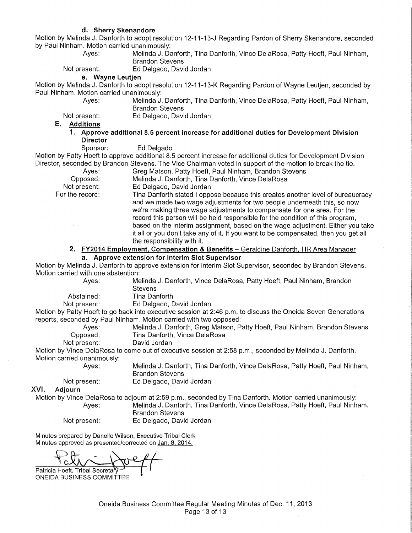by Paul Ninham. Motion carried unanimously:

**d. Sherry Skenandore**  Motion by Melinda J. Danforth to adopt resolution 12-11-13-J Regarding Pardon of Sherry Skenandore, seconded Ayes: Melinda J. Danforth, Tina Danforth, Vince DelaRosa, Patty Hoeft, Paul Ninham, Brandon Stevens Not present: Ed Delgado, David Jordan **e. Wayne Leutjen**  Motion by Melinda J. Danforth to adopt resolution 12-11-13-K Regarding Pardon of Wayne Leutjen, seconded by Paul Ninham. Motion carried unanimously: Ayes: Melinda J. Danforth, Tina Danforth, Vince DelaRosa, Patty Hoeft, Paul Ninham, Brandon Stevens Not present: Ed Delgado, David Jordan **E. Additions 1. Approve additional 8.5 percent increase for additional duties for Development Division Director**  Sponsor: Ed Delgado Motion by Patty Hoeft to approve additional 8.5 percent increase for additional duties for Development Division Director, seconded by Brandon Stevens. The Vice Chairman voted in support of the motion to break the tie. Ayes: Greg Matson, Patty Hoeft, Paul Ninham, Brandon Stevens Opposed: Melinda J. Danforth, Tina Danforth, Vince DelaRosa Not present: Ed Delgado, David Jordan For the record: Tina Danforth stated I oppose because this creates another level of bureaucracy and we made two wage adjustments for two people underneath this, so now we're making three wage adjustments to compensate for one area. For the record this person will be held responsible for the condition of this program, based on the interim assignment, based on the wage adjustment. Either you take it all or you don't take any of it. If you want to be compensated, then you get all the responsibility with it. **2. FY2014 Employment, Compensation & Benefits-** Geraldine Danforth, HR Area Manager **a. Approve extension for interim Slot Supervisor**  Motion by Melinda J. Danforth to approve extension for interim Slot Supervisor, seconded by Brandon Stevens. Motion carried with one abstention: Ayes: Melinda J. Danforth, Vince DelaRosa, Patty Hoeft, Paul Ninham, Brandon **Stevens** Abstained: Tina Danforth Not present: Ed Delgado, David Jordan Motion by Patty Hoeft to go back into executive session at 2:46 p.m. to discuss the Oneida Seven Generations reports, seconded by Paul Ninham. Motion carried with two opposed: Ayes: Melinda J. Danforth, Greg Matson, Patty Hoeft, Paul Ninham, Brandon Stevens Opposed: Tina Danforth, Vince DelaRosa<br>Not present: David Jordan David Jordan Motion by Vince DelaRosa to come out of executive session at 2:58 p.m., seconded by Melinda J. Danforth. Motion carried unanimously: Ayes:

Melinda J. Danforth, Tina Danforth, Vince DelaRosa, Patty Hoeft, Paul Ninham, Brandon Stevens

Ed Delgado, David Jordan

Not present: XVI. Adjourn

Motion by Vince DelaRosa to adjourn at 2:59 p.m., seconded by Tina Danforth. Motion carried unanimously: Ayes: Melinda J. Danforth, Tina Danforth, Vince DelaRosa, Patty Hoeft, Paul Ninham, Brandon Stevens

Not present: Ed Delgado, David Jordan

Minutes prepared by Danelle Wilson, Executive Tribal Clerk Minutes approved as presented/corrected on Jan. 8, 2014.

Patricia Hoeft, Tribal Secretar

ONEIDA BUSINESS COMMITTEE